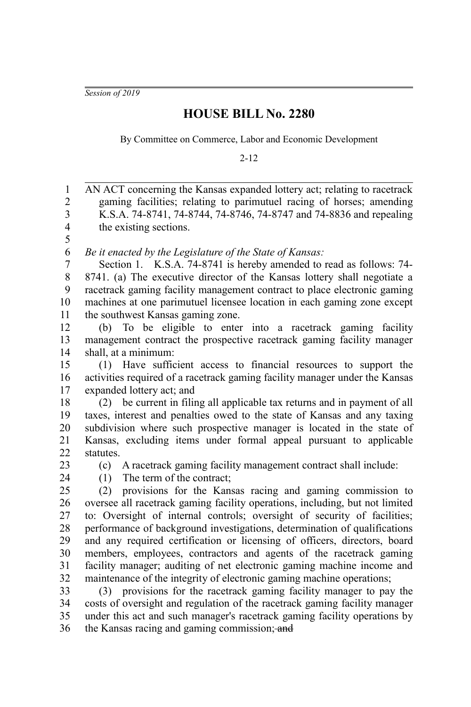*Session of 2019*

## **HOUSE BILL No. 2280**

By Committee on Commerce, Labor and Economic Development

2-12

AN ACT concerning the Kansas expanded lottery act; relating to racetrack gaming facilities; relating to parimutuel racing of horses; amending K.S.A. 74-8741, 74-8744, 74-8746, 74-8747 and 74-8836 and repealing the existing sections. *Be it enacted by the Legislature of the State of Kansas:* Section 1. K.S.A. 74-8741 is hereby amended to read as follows: 74- 8741. (a) The executive director of the Kansas lottery shall negotiate a racetrack gaming facility management contract to place electronic gaming machines at one parimutuel licensee location in each gaming zone except the southwest Kansas gaming zone. (b) To be eligible to enter into a racetrack gaming facility management contract the prospective racetrack gaming facility manager shall, at a minimum: (1) Have sufficient access to financial resources to support the activities required of a racetrack gaming facility manager under the Kansas expanded lottery act; and (2) be current in filing all applicable tax returns and in payment of all taxes, interest and penalties owed to the state of Kansas and any taxing subdivision where such prospective manager is located in the state of Kansas, excluding items under formal appeal pursuant to applicable statutes. (c) A racetrack gaming facility management contract shall include: (1) The term of the contract; (2) provisions for the Kansas racing and gaming commission to oversee all racetrack gaming facility operations, including, but not limited to: Oversight of internal controls; oversight of security of facilities; performance of background investigations, determination of qualifications and any required certification or licensing of officers, directors, board members, employees, contractors and agents of the racetrack gaming facility manager; auditing of net electronic gaming machine income and maintenance of the integrity of electronic gaming machine operations; (3) provisions for the racetrack gaming facility manager to pay the costs of oversight and regulation of the racetrack gaming facility manager under this act and such manager's racetrack gaming facility operations by the Kansas racing and gaming commission; and 1 2 3 4 5 6 7 8 9 10 11 12 13 14 15 16 17 18 19 20 21 22 23 24 25 26 27 28 29 30 31 32 33 34 35 36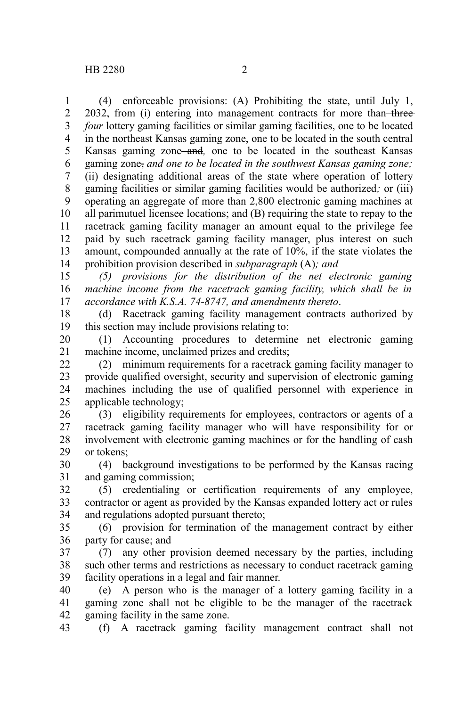(4) enforceable provisions: (A) Prohibiting the state, until July 1, 2032, from (i) entering into management contracts for more than-three*four* lottery gaming facilities or similar gaming facilities, one to be located in the northeast Kansas gaming zone, one to be located in the south central Kansas gaming zone and*,* one to be located in the southeast Kansas gaming zone, *and one to be located in the southwest Kansas gaming zone;* (ii) designating additional areas of the state where operation of lottery gaming facilities or similar gaming facilities would be authorized*;* or (iii) operating an aggregate of more than 2,800 electronic gaming machines at all parimutuel licensee locations; and (B) requiring the state to repay to the racetrack gaming facility manager an amount equal to the privilege fee paid by such racetrack gaming facility manager, plus interest on such amount, compounded annually at the rate of 10%, if the state violates the prohibition provision described in *subparagraph* (A)*; and* 1 2 3 4 5 6 7 8 9 10 11 12 13 14

*(5) provisions for the distribution of the net electronic gaming machine income from the racetrack gaming facility, which shall be in accordance with K.S.A. 74-8747, and amendments thereto*. 15 16 17

(d) Racetrack gaming facility management contracts authorized by this section may include provisions relating to: 18 19

(1) Accounting procedures to determine net electronic gaming machine income, unclaimed prizes and credits; 20 21

(2) minimum requirements for a racetrack gaming facility manager to provide qualified oversight, security and supervision of electronic gaming machines including the use of qualified personnel with experience in applicable technology; 22 23 24 25

(3) eligibility requirements for employees, contractors or agents of a racetrack gaming facility manager who will have responsibility for or involvement with electronic gaming machines or for the handling of cash or tokens; 26 27 28 29

(4) background investigations to be performed by the Kansas racing and gaming commission; 30 31

(5) credentialing or certification requirements of any employee, contractor or agent as provided by the Kansas expanded lottery act or rules and regulations adopted pursuant thereto; 32 33 34

(6) provision for termination of the management contract by either party for cause; and 35 36

(7) any other provision deemed necessary by the parties, including such other terms and restrictions as necessary to conduct racetrack gaming facility operations in a legal and fair manner. 37 38 39

(e) A person who is the manager of a lottery gaming facility in a gaming zone shall not be eligible to be the manager of the racetrack gaming facility in the same zone. 40 41 42

(f) A racetrack gaming facility management contract shall not 43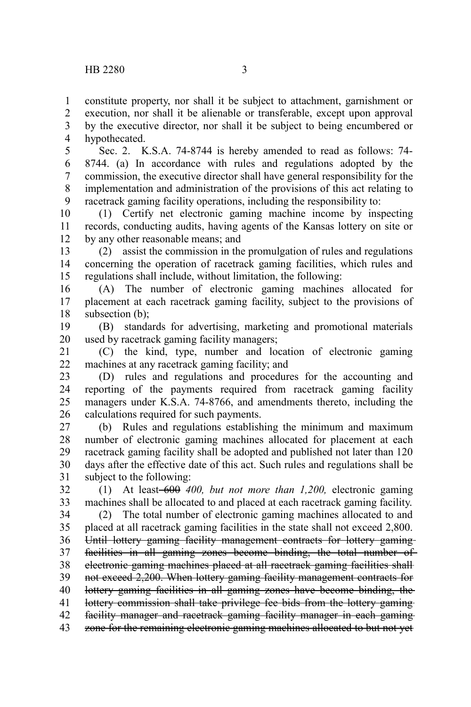constitute property, nor shall it be subject to attachment, garnishment or execution, nor shall it be alienable or transferable, except upon approval by the executive director, nor shall it be subject to being encumbered or hypothecated. 1 2 3 4

Sec. 2. K.S.A. 74-8744 is hereby amended to read as follows: 74- 8744. (a) In accordance with rules and regulations adopted by the commission, the executive director shall have general responsibility for the implementation and administration of the provisions of this act relating to racetrack gaming facility operations, including the responsibility to: 5 6 7 8 9

(1) Certify net electronic gaming machine income by inspecting records, conducting audits, having agents of the Kansas lottery on site or by any other reasonable means; and 10 11 12

(2) assist the commission in the promulgation of rules and regulations concerning the operation of racetrack gaming facilities, which rules and regulations shall include, without limitation, the following: 13 14 15

(A) The number of electronic gaming machines allocated for placement at each racetrack gaming facility, subject to the provisions of subsection (b): 16 17 18

(B) standards for advertising, marketing and promotional materials used by racetrack gaming facility managers; 19 20

(C) the kind, type, number and location of electronic gaming machines at any racetrack gaming facility; and 21 22

(D) rules and regulations and procedures for the accounting and reporting of the payments required from racetrack gaming facility managers under K.S.A. 74-8766, and amendments thereto, including the calculations required for such payments. 23 24 25 26

(b) Rules and regulations establishing the minimum and maximum number of electronic gaming machines allocated for placement at each racetrack gaming facility shall be adopted and published not later than 120 days after the effective date of this act. Such rules and regulations shall be subject to the following: 27 28 29 30 31

(1) At least 600 *400, but not more than 1,200,* electronic gaming machines shall be allocated to and placed at each racetrack gaming facility. 32 33

(2) The total number of electronic gaming machines allocated to and placed at all racetrack gaming facilities in the state shall not exceed 2,800. Until lottery gaming facility management contracts for lottery gaming facilities in all gaming zones become binding, the total number of electronic gaming machines placed at all racetrack gaming facilities shall not exceed 2,200. When lottery gaming facility management contracts for lottery gaming facilities in all gaming zones have become binding, the lottery commission shall take privilege fee bids from the lottery gaming facility manager and racetrack gaming facility manager in each gaming zone for the remaining electronic gaming machines allocated to but not yet 34 35 36 37 38 39 40 41 42 43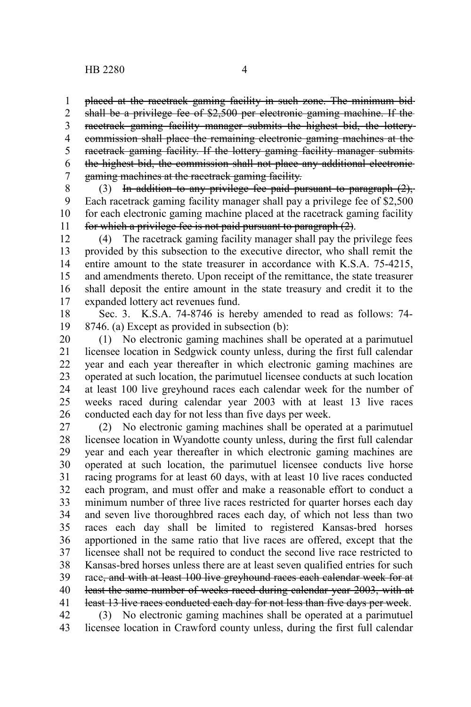placed at the racetrack gaming facility in such zone. The minimum bid 1

shall be a privilege fee of \$2,500 per electronic gaming machine. If the racetrack gaming facility manager submits the highest bid, the lottery commission shall place the remaining electronic gaming machines at the racetrack gaming facility. If the lottery gaming facility manager submits the highest bid, the commission shall not place any additional electronic gaming machines at the racetrack gaming facility. 2 3 4 5 6 7

(3) In addition to any privilege fee paid pursuant to paragraph  $(2)$ , Each racetrack gaming facility manager shall pay a privilege fee of \$2,500 for each electronic gaming machine placed at the racetrack gaming facility for which a privilege fee is not paid pursuant to paragraph (2). 8 9 10 11

(4) The racetrack gaming facility manager shall pay the privilege fees provided by this subsection to the executive director, who shall remit the entire amount to the state treasurer in accordance with K.S.A. 75-4215, and amendments thereto. Upon receipt of the remittance, the state treasurer shall deposit the entire amount in the state treasury and credit it to the expanded lottery act revenues fund. 12 13 14 15 16 17

Sec. 3. K.S.A. 74-8746 is hereby amended to read as follows: 74- 8746. (a) Except as provided in subsection (b): 18 19

(1) No electronic gaming machines shall be operated at a parimutuel licensee location in Sedgwick county unless, during the first full calendar year and each year thereafter in which electronic gaming machines are operated at such location, the parimutuel licensee conducts at such location at least 100 live greyhound races each calendar week for the number of weeks raced during calendar year 2003 with at least 13 live races conducted each day for not less than five days per week. 20 21 22 23 24 25 26

(2) No electronic gaming machines shall be operated at a parimutuel licensee location in Wyandotte county unless, during the first full calendar year and each year thereafter in which electronic gaming machines are operated at such location, the parimutuel licensee conducts live horse racing programs for at least 60 days, with at least 10 live races conducted each program, and must offer and make a reasonable effort to conduct a minimum number of three live races restricted for quarter horses each day and seven live thoroughbred races each day, of which not less than two races each day shall be limited to registered Kansas-bred horses apportioned in the same ratio that live races are offered, except that the licensee shall not be required to conduct the second live race restricted to Kansas-bred horses unless there are at least seven qualified entries for such race, and with at least 100 live greyhound races each calendar week for at least the same number of weeks raced during calendar year 2003, with at least 13 live races conducted each day for not less than five days per week. 27 28 29 30 31 32 33 34 35 36 37 38 39 40 41 42

(3) No electronic gaming machines shall be operated at a parimutuel licensee location in Crawford county unless, during the first full calendar 43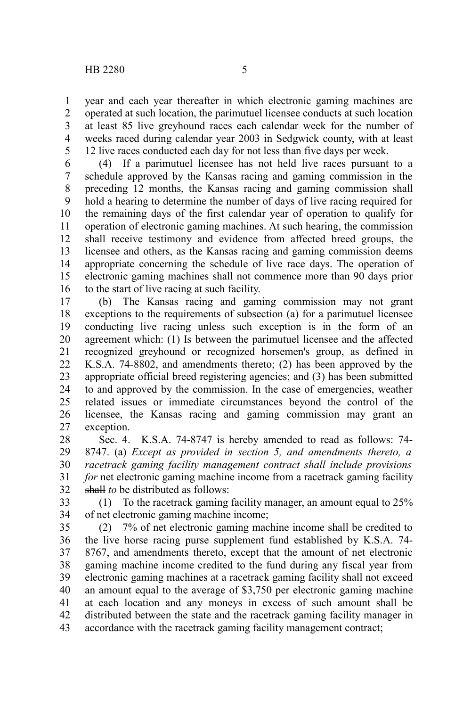year and each year thereafter in which electronic gaming machines are operated at such location, the parimutuel licensee conducts at such location at least 85 live greyhound races each calendar week for the number of weeks raced during calendar year 2003 in Sedgwick county, with at least 12 live races conducted each day for not less than five days per week. 1 2 3 4 5

(4) If a parimutuel licensee has not held live races pursuant to a schedule approved by the Kansas racing and gaming commission in the preceding 12 months, the Kansas racing and gaming commission shall hold a hearing to determine the number of days of live racing required for the remaining days of the first calendar year of operation to qualify for operation of electronic gaming machines. At such hearing, the commission shall receive testimony and evidence from affected breed groups, the licensee and others, as the Kansas racing and gaming commission deems appropriate concerning the schedule of live race days. The operation of electronic gaming machines shall not commence more than 90 days prior to the start of live racing at such facility. 6 7 8 9 10 11 12 13 14 15 16

(b) The Kansas racing and gaming commission may not grant exceptions to the requirements of subsection (a) for a parimutuel licensee conducting live racing unless such exception is in the form of an agreement which: (1) Is between the parimutuel licensee and the affected recognized greyhound or recognized horsemen's group, as defined in K.S.A. 74-8802, and amendments thereto; (2) has been approved by the appropriate official breed registering agencies; and (3) has been submitted to and approved by the commission. In the case of emergencies, weather related issues or immediate circumstances beyond the control of the licensee, the Kansas racing and gaming commission may grant an exception. 17 18 19 20 21 22 23 24 25 26 27

Sec. 4. K.S.A. 74-8747 is hereby amended to read as follows: 74- 8747. (a) *Except as provided in section 5, and amendments thereto, a racetrack gaming facility management contract shall include provisions for* net electronic gaming machine income from a racetrack gaming facility shall*to* be distributed as follows: 28 29 30 31 32

(1) To the racetrack gaming facility manager, an amount equal to 25% of net electronic gaming machine income; 33 34

(2) 7% of net electronic gaming machine income shall be credited to the live horse racing purse supplement fund established by K.S.A. 74- 8767, and amendments thereto, except that the amount of net electronic gaming machine income credited to the fund during any fiscal year from electronic gaming machines at a racetrack gaming facility shall not exceed an amount equal to the average of \$3,750 per electronic gaming machine at each location and any moneys in excess of such amount shall be distributed between the state and the racetrack gaming facility manager in accordance with the racetrack gaming facility management contract; 35 36 37 38 39 40 41 42 43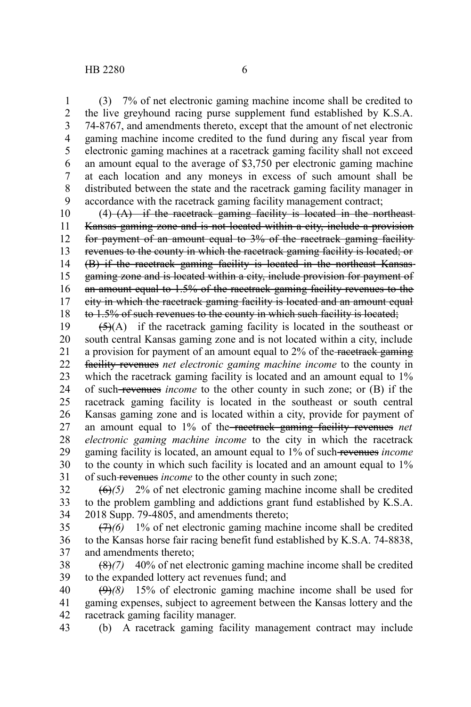(3) 7% of net electronic gaming machine income shall be credited to the live greyhound racing purse supplement fund established by K.S.A. 74-8767, and amendments thereto, except that the amount of net electronic gaming machine income credited to the fund during any fiscal year from electronic gaming machines at a racetrack gaming facility shall not exceed an amount equal to the average of \$3,750 per electronic gaming machine at each location and any moneys in excess of such amount shall be distributed between the state and the racetrack gaming facility manager in accordance with the racetrack gaming facility management contract; 1 2 3 4 5 6 7 8 9

 $(4)$   $(A)$  if the racetrack gaming facility is located in the northeast-Kansas gaming zone and is not located within a city, include a provision for payment of an amount equal to 3% of the racetrack gaming facility revenues to the county in which the racetrack gaming facility is located; or (B) if the racetrack gaming facility is located in the northeast Kansas gaming zone and is located within a city, include provision for payment of an amount equal to 1.5% of the racetrack gaming facility revenues to the city in which the racetrack gaming facility is located and an amount equal to 1.5% of such revenues to the county in which such facility is located; 10 11 12 13 14 15 16 17 18

 $\left(\frac{1}{2}(A)\right)$  if the racetrack gaming facility is located in the southeast or south central Kansas gaming zone and is not located within a city, include a provision for payment of an amount equal to 2% of the racetrack gaming facility revenues *net electronic gaming machine income* to the county in which the racetrack gaming facility is located and an amount equal to  $1\%$ of such revenues *income* to the other county in such zone; or (B) if the racetrack gaming facility is located in the southeast or south central Kansas gaming zone and is located within a city, provide for payment of an amount equal to 1% of the racetrack gaming facility revenues *net electronic gaming machine income* to the city in which the racetrack gaming facility is located, an amount equal to 1% of such revenues *income* to the county in which such facility is located and an amount equal to 1% of such revenues *income* to the other county in such zone; 19 20 21 22 23 24 25 26 27 28 29 30 31

(6)*(5)* 2% of net electronic gaming machine income shall be credited to the problem gambling and addictions grant fund established by K.S.A. 2018 Supp. 79-4805, and amendments thereto; 32 33 34

(7)*(6)* 1% of net electronic gaming machine income shall be credited to the Kansas horse fair racing benefit fund established by K.S.A. 74-8838, and amendments thereto; 35 36 37

(8)*(7)* 40% of net electronic gaming machine income shall be credited to the expanded lottery act revenues fund; and 38 39

(9)*(8)* 15% of electronic gaming machine income shall be used for gaming expenses, subject to agreement between the Kansas lottery and the racetrack gaming facility manager. 40 41 42

(b) A racetrack gaming facility management contract may include 43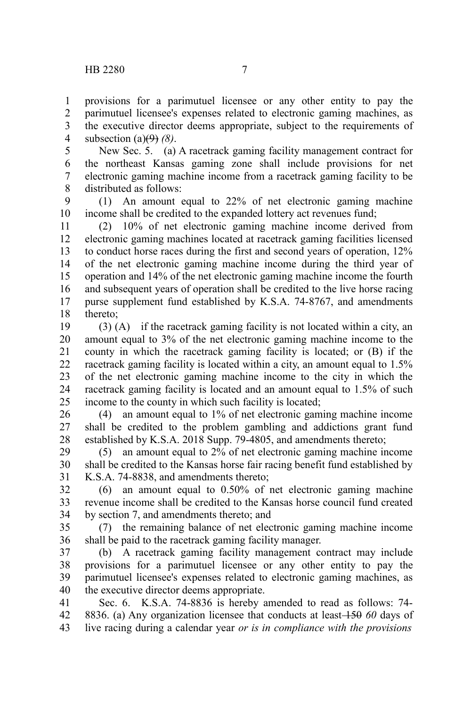provisions for a parimutuel licensee or any other entity to pay the parimutuel licensee's expenses related to electronic gaming machines, as the executive director deems appropriate, subject to the requirements of subsection (a)(9) *(8)*. 1 2 3 4

New Sec. 5. (a) A racetrack gaming facility management contract for the northeast Kansas gaming zone shall include provisions for net electronic gaming machine income from a racetrack gaming facility to be distributed as follows: 5 6 7 8

(1) An amount equal to 22% of net electronic gaming machine income shall be credited to the expanded lottery act revenues fund; 9 10

(2) 10% of net electronic gaming machine income derived from electronic gaming machines located at racetrack gaming facilities licensed to conduct horse races during the first and second years of operation, 12% of the net electronic gaming machine income during the third year of operation and 14% of the net electronic gaming machine income the fourth and subsequent years of operation shall be credited to the live horse racing purse supplement fund established by K.S.A. 74-8767, and amendments thereto; 11 12 13 14 15 16 17 18

(3) (A) if the racetrack gaming facility is not located within a city, an amount equal to 3% of the net electronic gaming machine income to the county in which the racetrack gaming facility is located; or (B) if the racetrack gaming facility is located within a city, an amount equal to 1.5% of the net electronic gaming machine income to the city in which the racetrack gaming facility is located and an amount equal to 1.5% of such income to the county in which such facility is located; 19 20 21 22 23 24 25

(4) an amount equal to 1% of net electronic gaming machine income shall be credited to the problem gambling and addictions grant fund established by K.S.A. 2018 Supp. 79-4805, and amendments thereto; 26 27 28

(5) an amount equal to 2% of net electronic gaming machine income shall be credited to the Kansas horse fair racing benefit fund established by K.S.A. 74-8838, and amendments thereto; 29 30 31

(6) an amount equal to 0.50% of net electronic gaming machine revenue income shall be credited to the Kansas horse council fund created by section 7, and amendments thereto; and 32 33 34

(7) the remaining balance of net electronic gaming machine income shall be paid to the racetrack gaming facility manager. 35 36

(b) A racetrack gaming facility management contract may include provisions for a parimutuel licensee or any other entity to pay the parimutuel licensee's expenses related to electronic gaming machines, as the executive director deems appropriate. 37 38 39 40

Sec. 6. K.S.A. 74-8836 is hereby amended to read as follows: 74- 8836. (a) Any organization licensee that conducts at least 150 *60* days of live racing during a calendar year *or is in compliance with the provisions* 41 42 43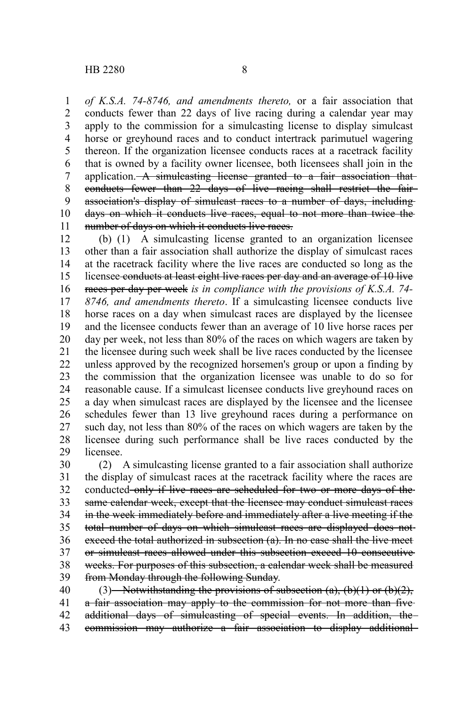*of K.S.A. 74-8746, and amendments thereto,* or a fair association that conducts fewer than 22 days of live racing during a calendar year may apply to the commission for a simulcasting license to display simulcast horse or greyhound races and to conduct intertrack parimutuel wagering thereon. If the organization licensee conducts races at a racetrack facility that is owned by a facility owner licensee, both licensees shall join in the application. A simulcasting license granted to a fair association that conducts fewer than 22 days of live racing shall restrict the fair association's display of simulcast races to a number of days, including days on which it conducts live races, equal to not more than twice the number of days on which it conducts live races. 1 2 3 4 5 6 7 8 9 10 11

(b) (1) A simulcasting license granted to an organization licensee other than a fair association shall authorize the display of simulcast races at the racetrack facility where the live races are conducted so long as the licensee conducts at least eight live races per day and an average of 10 live races per day per week *is in compliance with the provisions of K.S.A. 74- 8746, and amendments thereto*. If a simulcasting licensee conducts live horse races on a day when simulcast races are displayed by the licensee and the licensee conducts fewer than an average of 10 live horse races per day per week, not less than 80% of the races on which wagers are taken by the licensee during such week shall be live races conducted by the licensee unless approved by the recognized horsemen's group or upon a finding by the commission that the organization licensee was unable to do so for reasonable cause. If a simulcast licensee conducts live greyhound races on a day when simulcast races are displayed by the licensee and the licensee schedules fewer than 13 live greyhound races during a performance on such day, not less than 80% of the races on which wagers are taken by the licensee during such performance shall be live races conducted by the licensee. 12 13 14 15 16 17 18 19 20 21 22 23 24 25 26 27 28 29

(2) A simulcasting license granted to a fair association shall authorize the display of simulcast races at the racetrack facility where the races are conducted only if live races are scheduled for two or more days of the same calendar week, except that the licensee may conduct simulcast races in the week immediately before and immediately after a live meeting if the total number of days on which simulcast races are displayed does not exceed the total authorized in subsection (a). In no case shall the live meet or simulcast races allowed under this subsection exceed 10 consecutive weeks. For purposes of this subsection, a calendar week shall be measured from Monday through the following Sunday. 30 31 32 33 34 35 36 37 38 39

(3) Notwithstanding the provisions of subsection (a), (b)(1) or (b)(2), a fair association may apply to the commission for not more than five additional days of simulcasting of special events. In addition, the commission may authorize a fair association to display additional 40 41 42 43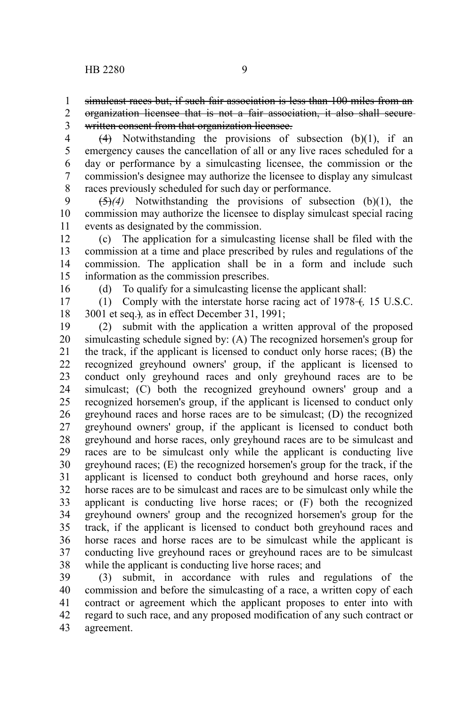simulcast races but, if such fair association is less than 100 miles from an 1

organization licensee that is not a fair association, it also shall secure written consent from that organization licensee. 2 3

 $(4)$  Notwithstanding the provisions of subsection  $(b)(1)$ , if an emergency causes the cancellation of all or any live races scheduled for a day or performance by a simulcasting licensee, the commission or the commission's designee may authorize the licensee to display any simulcast races previously scheduled for such day or performance. 4 5 6 7 8

(5)*(4)* Notwithstanding the provisions of subsection (b)(1), the commission may authorize the licensee to display simulcast special racing events as designated by the commission. 9 10 11

(c) The application for a simulcasting license shall be filed with the commission at a time and place prescribed by rules and regulations of the commission. The application shall be in a form and include such information as the commission prescribes. 12 13 14 15

16

(d) To qualify for a simulcasting license the applicant shall:

(1) Comply with the interstate horse racing act of 1978– $f$ , 15 U.S.C. 3001 et seq.)*,* as in effect December 31, 1991; 17 18

(2) submit with the application a written approval of the proposed simulcasting schedule signed by: (A) The recognized horsemen's group for the track, if the applicant is licensed to conduct only horse races; (B) the recognized greyhound owners' group, if the applicant is licensed to conduct only greyhound races and only greyhound races are to be simulcast; (C) both the recognized greyhound owners' group and a recognized horsemen's group, if the applicant is licensed to conduct only greyhound races and horse races are to be simulcast; (D) the recognized greyhound owners' group, if the applicant is licensed to conduct both greyhound and horse races, only greyhound races are to be simulcast and races are to be simulcast only while the applicant is conducting live greyhound races; (E) the recognized horsemen's group for the track, if the applicant is licensed to conduct both greyhound and horse races, only horse races are to be simulcast and races are to be simulcast only while the applicant is conducting live horse races; or (F) both the recognized greyhound owners' group and the recognized horsemen's group for the track, if the applicant is licensed to conduct both greyhound races and horse races and horse races are to be simulcast while the applicant is conducting live greyhound races or greyhound races are to be simulcast while the applicant is conducting live horse races; and 19 20 21 22 23 24 25 26 27 28 29 30 31 32 33 34 35 36 37 38

(3) submit, in accordance with rules and regulations of the commission and before the simulcasting of a race, a written copy of each contract or agreement which the applicant proposes to enter into with regard to such race, and any proposed modification of any such contract or agreement. 39 40 41 42 43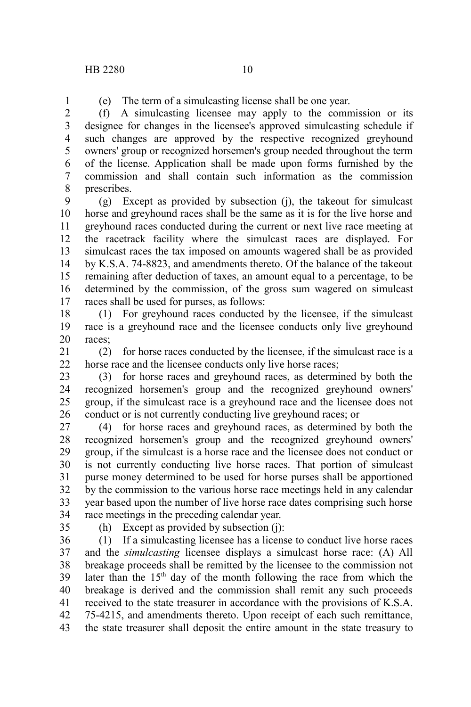1

(e) The term of a simulcasting license shall be one year.

(f) A simulcasting licensee may apply to the commission or its designee for changes in the licensee's approved simulcasting schedule if such changes are approved by the respective recognized greyhound owners' group or recognized horsemen's group needed throughout the term of the license. Application shall be made upon forms furnished by the commission and shall contain such information as the commission prescribes. 2 3 4 5 6 7 8

(g) Except as provided by subsection (j), the takeout for simulcast horse and greyhound races shall be the same as it is for the live horse and greyhound races conducted during the current or next live race meeting at the racetrack facility where the simulcast races are displayed. For simulcast races the tax imposed on amounts wagered shall be as provided by K.S.A. 74-8823, and amendments thereto. Of the balance of the takeout remaining after deduction of taxes, an amount equal to a percentage, to be determined by the commission, of the gross sum wagered on simulcast races shall be used for purses, as follows: 9 10 11 12 13 14 15 16 17

(1) For greyhound races conducted by the licensee, if the simulcast race is a greyhound race and the licensee conducts only live greyhound races; 18 19 20

(2) for horse races conducted by the licensee, if the simulcast race is a horse race and the licensee conducts only live horse races; 21 22

(3) for horse races and greyhound races, as determined by both the recognized horsemen's group and the recognized greyhound owners' group, if the simulcast race is a greyhound race and the licensee does not conduct or is not currently conducting live greyhound races; or 23 24 25 26

(4) for horse races and greyhound races, as determined by both the recognized horsemen's group and the recognized greyhound owners' group, if the simulcast is a horse race and the licensee does not conduct or is not currently conducting live horse races. That portion of simulcast purse money determined to be used for horse purses shall be apportioned by the commission to the various horse race meetings held in any calendar year based upon the number of live horse race dates comprising such horse race meetings in the preceding calendar year. 27 28 29 30 31 32 33 34

(h) Except as provided by subsection (j):

(1) If a simulcasting licensee has a license to conduct live horse races and the *simulcasting* licensee displays a simulcast horse race: (A) All breakage proceeds shall be remitted by the licensee to the commission not later than the 15<sup>th</sup> day of the month following the race from which the breakage is derived and the commission shall remit any such proceeds received to the state treasurer in accordance with the provisions of K.S.A. 75-4215, and amendments thereto. Upon receipt of each such remittance, the state treasurer shall deposit the entire amount in the state treasury to 36 37 38 39 40 41 42 43

<sup>35</sup>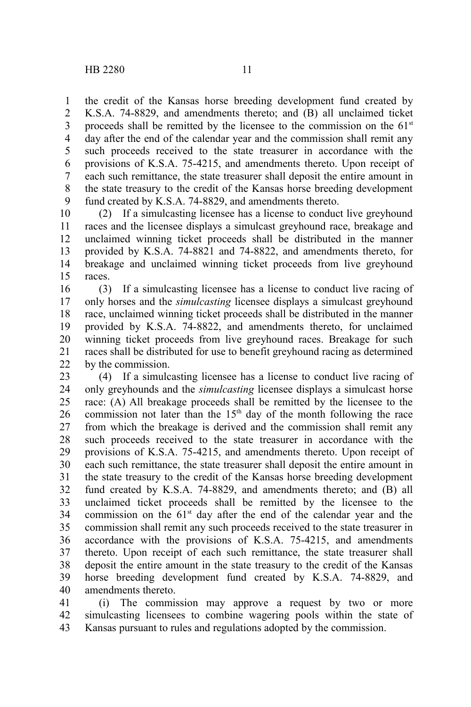the credit of the Kansas horse breeding development fund created by K.S.A. 74-8829, and amendments thereto; and (B) all unclaimed ticket proceeds shall be remitted by the licensee to the commission on the  $61<sup>st</sup>$ day after the end of the calendar year and the commission shall remit any such proceeds received to the state treasurer in accordance with the provisions of K.S.A. 75-4215, and amendments thereto. Upon receipt of each such remittance, the state treasurer shall deposit the entire amount in the state treasury to the credit of the Kansas horse breeding development fund created by K.S.A. 74-8829, and amendments thereto. 1 2 3 4 5 6 7 8 9

(2) If a simulcasting licensee has a license to conduct live greyhound races and the licensee displays a simulcast greyhound race, breakage and unclaimed winning ticket proceeds shall be distributed in the manner provided by K.S.A. 74-8821 and 74-8822, and amendments thereto, for breakage and unclaimed winning ticket proceeds from live greyhound races. 10 11 12 13 14 15

(3) If a simulcasting licensee has a license to conduct live racing of only horses and the *simulcasting* licensee displays a simulcast greyhound race, unclaimed winning ticket proceeds shall be distributed in the manner provided by K.S.A. 74-8822, and amendments thereto, for unclaimed winning ticket proceeds from live greyhound races. Breakage for such races shall be distributed for use to benefit greyhound racing as determined by the commission. 16 17 18 19 20 21 22

(4) If a simulcasting licensee has a license to conduct live racing of only greyhounds and the *simulcasting* licensee displays a simulcast horse race: (A) All breakage proceeds shall be remitted by the licensee to the commission not later than the  $15<sup>th</sup>$  day of the month following the race from which the breakage is derived and the commission shall remit any such proceeds received to the state treasurer in accordance with the provisions of K.S.A. 75-4215, and amendments thereto. Upon receipt of each such remittance, the state treasurer shall deposit the entire amount in the state treasury to the credit of the Kansas horse breeding development fund created by K.S.A. 74-8829, and amendments thereto; and (B) all unclaimed ticket proceeds shall be remitted by the licensee to the commission on the  $61<sup>st</sup>$  day after the end of the calendar year and the commission shall remit any such proceeds received to the state treasurer in accordance with the provisions of K.S.A. 75-4215, and amendments thereto. Upon receipt of each such remittance, the state treasurer shall deposit the entire amount in the state treasury to the credit of the Kansas horse breeding development fund created by K.S.A. 74-8829, and amendments thereto. 23 24 25 26 27 28 29 30 31 32 33 34 35 36 37 38 39 40

(i) The commission may approve a request by two or more simulcasting licensees to combine wagering pools within the state of Kansas pursuant to rules and regulations adopted by the commission. 41 42 43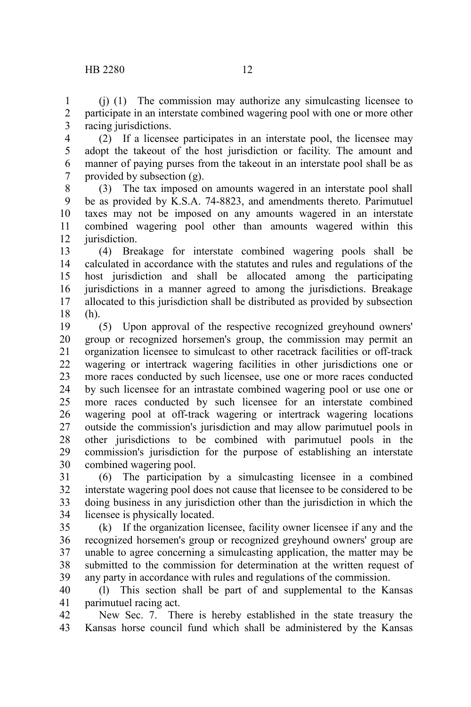(j) (1) The commission may authorize any simulcasting licensee to participate in an interstate combined wagering pool with one or more other racing jurisdictions. 1 2 3

(2) If a licensee participates in an interstate pool, the licensee may adopt the takeout of the host jurisdiction or facility. The amount and manner of paying purses from the takeout in an interstate pool shall be as provided by subsection (g). 4 5 6 7

(3) The tax imposed on amounts wagered in an interstate pool shall be as provided by K.S.A. 74-8823, and amendments thereto. Parimutuel taxes may not be imposed on any amounts wagered in an interstate combined wagering pool other than amounts wagered within this jurisdiction. 8 9 10 11 12

(4) Breakage for interstate combined wagering pools shall be calculated in accordance with the statutes and rules and regulations of the host jurisdiction and shall be allocated among the participating jurisdictions in a manner agreed to among the jurisdictions. Breakage allocated to this jurisdiction shall be distributed as provided by subsection (h). 13 14 15 16 17 18

(5) Upon approval of the respective recognized greyhound owners' group or recognized horsemen's group, the commission may permit an organization licensee to simulcast to other racetrack facilities or off-track wagering or intertrack wagering facilities in other jurisdictions one or more races conducted by such licensee, use one or more races conducted by such licensee for an intrastate combined wagering pool or use one or more races conducted by such licensee for an interstate combined wagering pool at off-track wagering or intertrack wagering locations outside the commission's jurisdiction and may allow parimutuel pools in other jurisdictions to be combined with parimutuel pools in the commission's jurisdiction for the purpose of establishing an interstate combined wagering pool. 19 20 21 22 23 24 25 26 27 28 29 30

(6) The participation by a simulcasting licensee in a combined interstate wagering pool does not cause that licensee to be considered to be doing business in any jurisdiction other than the jurisdiction in which the licensee is physically located. 31 32 33 34

(k) If the organization licensee, facility owner licensee if any and the recognized horsemen's group or recognized greyhound owners' group are unable to agree concerning a simulcasting application, the matter may be submitted to the commission for determination at the written request of any party in accordance with rules and regulations of the commission. 35 36 37 38 39

(l) This section shall be part of and supplemental to the Kansas parimutuel racing act. 40 41

New Sec. 7. There is hereby established in the state treasury the Kansas horse council fund which shall be administered by the Kansas 42 43